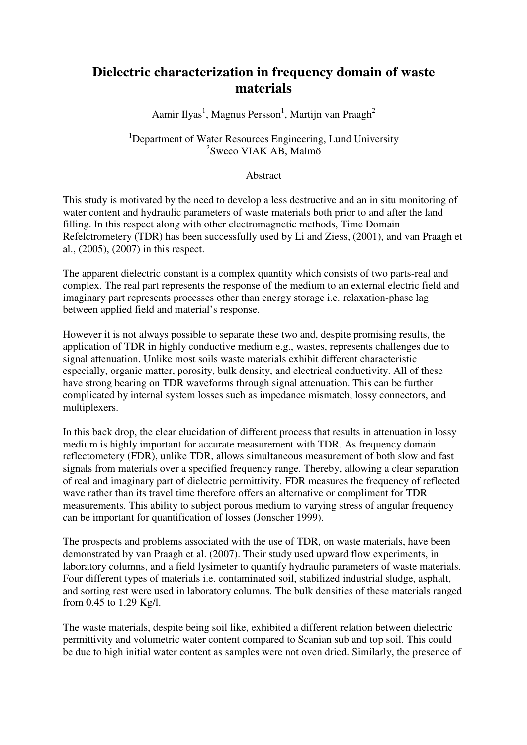## **Dielectric characterization in frequency domain of waste materials**

Aamir Ilyas<sup>1</sup>, Magnus Persson<sup>1</sup>, Martijn van Praagh<sup>2</sup>

## <sup>1</sup>Department of Water Resources Engineering, Lund University 2 Sweco VIAK AB, Malmö

## Abstract

This study is motivated by the need to develop a less destructive and an in situ monitoring of water content and hydraulic parameters of waste materials both prior to and after the land filling. In this respect along with other electromagnetic methods, Time Domain Refelctrometery (TDR) has been successfully used by Li and Ziess, (2001), and van Praagh et al., (2005), (2007) in this respect.

The apparent dielectric constant is a complex quantity which consists of two parts-real and complex. The real part represents the response of the medium to an external electric field and imaginary part represents processes other than energy storage i.e. relaxation-phase lag between applied field and material's response.

However it is not always possible to separate these two and, despite promising results, the application of TDR in highly conductive medium e.g., wastes, represents challenges due to signal attenuation. Unlike most soils waste materials exhibit different characteristic especially, organic matter, porosity, bulk density, and electrical conductivity. All of these have strong bearing on TDR waveforms through signal attenuation. This can be further complicated by internal system losses such as impedance mismatch, lossy connectors, and multiplexers.

In this back drop, the clear elucidation of different process that results in attenuation in lossy medium is highly important for accurate measurement with TDR. As frequency domain reflectometery (FDR), unlike TDR, allows simultaneous measurement of both slow and fast signals from materials over a specified frequency range. Thereby, allowing a clear separation of real and imaginary part of dielectric permittivity. FDR measures the frequency of reflected wave rather than its travel time therefore offers an alternative or compliment for TDR measurements. This ability to subject porous medium to varying stress of angular frequency can be important for quantification of losses (Jonscher 1999).

The prospects and problems associated with the use of TDR, on waste materials, have been demonstrated by van Praagh et al. (2007). Their study used upward flow experiments, in laboratory columns, and a field lysimeter to quantify hydraulic parameters of waste materials. Four different types of materials i.e. contaminated soil, stabilized industrial sludge, asphalt, and sorting rest were used in laboratory columns. The bulk densities of these materials ranged from 0.45 to 1.29 Kg/l.

The waste materials, despite being soil like, exhibited a different relation between dielectric permittivity and volumetric water content compared to Scanian sub and top soil. This could be due to high initial water content as samples were not oven dried. Similarly, the presence of